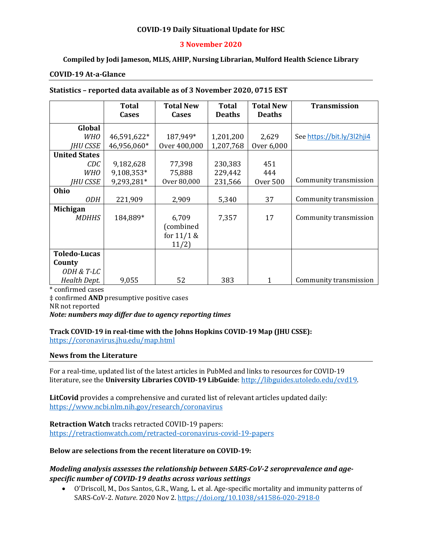## **COVID-19 Daily Situational Update for HSC**

## **3 November 2020**

## **Compiled by Jodi Jameson, MLIS, AHIP, Nursing Librarian, Mulford Health Science Library**

#### **COVID-19 At-a-Glance**

#### **Statistics – reported data available as of 3 November 2020, 0715 EST**

|                      | <b>Total</b> | <b>Total New</b> | <b>Total</b>  | <b>Total New</b> | <b>Transmission</b>        |
|----------------------|--------------|------------------|---------------|------------------|----------------------------|
|                      | Cases        | <b>Cases</b>     | <b>Deaths</b> | <b>Deaths</b>    |                            |
|                      |              |                  |               |                  |                            |
| Global               |              |                  |               |                  |                            |
| <b>WHO</b>           | 46,591,622*  | 187,949*         | 1,201,200     | 2,629            | See https://bit.ly/3l2hji4 |
| <b>IHU CSSE</b>      | 46,956,060*  | Over 400,000     | 1,207,768     | Over 6,000       |                            |
| <b>United States</b> |              |                  |               |                  |                            |
| CDC                  | 9,182,628    | 77,398           | 230,383       | 451              |                            |
| <b>WHO</b>           | 9,108,353*   | 75,888           | 229,442       | 444              |                            |
| IHU CSSE             | 9,293,281*   | Over 80,000      | 231,566       | <b>Over 500</b>  | Community transmission     |
| Ohio                 |              |                  |               |                  |                            |
| <b>ODH</b>           | 221,909      | 2,909            | 5,340         | 37               | Community transmission     |
| <b>Michigan</b>      |              |                  |               |                  |                            |
| <b>MDHHS</b>         | 184,889*     | 6,709            | 7,357         | 17               | Community transmission     |
|                      |              | (combined        |               |                  |                            |
|                      |              | for $11/1$ &     |               |                  |                            |
|                      |              | 11/2)            |               |                  |                            |
| <b>Toledo-Lucas</b>  |              |                  |               |                  |                            |
| County               |              |                  |               |                  |                            |
| ODH & T-LC           |              |                  |               |                  |                            |
| Health Dept.         | 9,055        | 52               | 383           | $\mathbf{1}$     | Community transmission     |

\* confirmed cases

‡ confirmed **AND** presumptive positive cases

NR not reported

*Note: numbers may differ due to agency reporting times* 

# **Track COVID-19 in real-time with the Johns Hopkins COVID-19 Map (JHU CSSE):**

<https://coronavirus.jhu.edu/map.html>

#### **News from the Literature**

For a real-time, updated list of the latest articles in PubMed and links to resources for COVID-19 literature, see the **University Libraries COVID-19 LibGuide**[: http://libguides.utoledo.edu/cvd19.](http://libguides.utoledo.edu/cvd19) 

**LitCovid** provides a comprehensive and curated list of relevant articles updated daily: <https://www.ncbi.nlm.nih.gov/research/coronavirus>

**Retraction Watch** tracks retracted COVID-19 papers:

[https://retractionwatch.com/retracted-coronavirus-covid-19-papers](https://retractionwatch.com/retracted-coronavirus-covid-19-papers/)

#### **Below are selections from the recent literature on COVID-19:**

# *Modeling analysis assesses the relationship between SARS-CoV-2 seroprevalence and agespecific number of COVID-19 deaths across various settings*

• O'Driscoll, M., Dos Santos, G.R., Wang, L. et al. Age-specific mortality and immunity patterns of SARS-CoV-2. *Nature*. 2020 Nov 2.<https://doi.org/10.1038/s41586-020-2918-0>